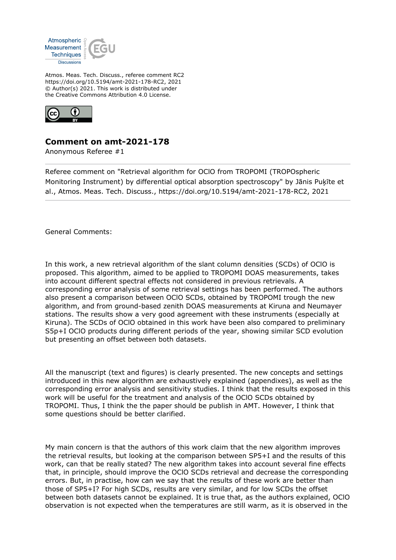

Atmos. Meas. Tech. Discuss., referee comment RC2 https://doi.org/10.5194/amt-2021-178-RC2, 2021 © Author(s) 2021. This work is distributed under the Creative Commons Attribution 4.0 License.



## **Comment on amt-2021-178**

Anonymous Referee #1

Referee comment on "Retrieval algorithm for OClO from TROPOMI (TROPOspheric Monitoring Instrument) by differential optical absorption spectroscopy" by Jānis Puķīte et al., Atmos. Meas. Tech. Discuss., https://doi.org/10.5194/amt-2021-178-RC2, 2021

General Comments:

In this work, a new retrieval algorithm of the slant column densities (SCDs) of OClO is proposed. This algorithm, aimed to be applied to TROPOMI DOAS measurements, takes into account different spectral effects not considered in previous retrievals. A corresponding error analysis of some retrieval settings has been performed. The authors also present a comparison between OClO SCDs, obtained by TROPOMI trough the new algorithm, and from ground-based zenith DOAS measurements at Kiruna and Neumayer stations. The results show a very good agreement with these instruments (especially at Kiruna). The SCDs of OClO obtained in this work have been also compared to preliminary S5p+I OClO products during different periods of the year, showing similar SCD evolution but presenting an offset between both datasets.

All the manuscript (text and figures) is clearly presented. The new concepts and settings introduced in this new algorithm are exhaustively explained (appendixes), as well as the corresponding error analysis and sensitivity studies. I think that the results exposed in this work will be useful for the treatment and analysis of the OClO SCDs obtained by TROPOMI. Thus, I think the the paper should be publish in AMT. However, I think that some questions should be better clarified.

My main concern is that the authors of this work claim that the new algorithm improves the retrieval results, but looking at the comparison between SP5+I and the results of this work, can that be really stated? The new algorithm takes into account several fine effects that, in principle, should improve the OClO SCDs retrieval and decrease the corresponding errors. But, in practise, how can we say that the results of these work are better than those of SP5+I? For high SCDs, results are very similar, and for low SCDs the offset between both datasets cannot be explained. It is true that, as the authors explained, OClO observation is not expected when the temperatures are still warm, as it is observed in the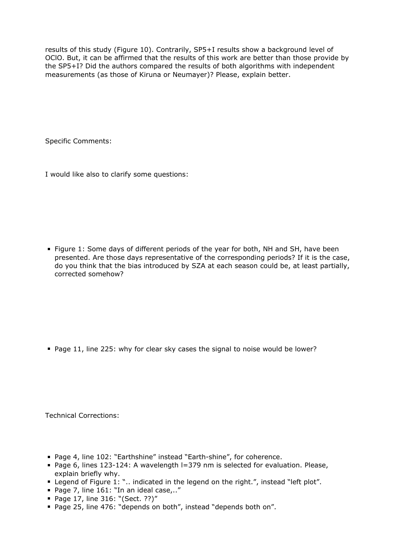results of this study (Figure 10). Contrarily, SP5+I results show a background level of OClO. But, it can be affirmed that the results of this work are better than those provide by the SP5+I? Did the authors compared the results of both algorithms with independent measurements (as those of Kiruna or Neumayer)? Please, explain better.

Specific Comments:

I would like also to clarify some questions:

**Figure 1: Some days of different periods of the year for both, NH and SH, have been** presented. Are those days representative of the corresponding periods? If it is the case, do you think that the bias introduced by SZA at each season could be, at least partially, corrected somehow?

Page 11, line 225: why for clear sky cases the signal to noise would be lower?

Technical Corrections:

- Page 4, line 102: "Earthshine" instead "Earth-shine", for coherence.
- Page 6, lines 123-124: A wavelength I=379 nm is selected for evaluation. Please, explain briefly why.
- **Example 1: "...** indicated in the legend on the right.", instead "left plot".
- Page 7, line 161: "In an ideal case,.."
- Page 17, line 316: "(Sect. ??)"
- Page 25, line 476: "depends on both", instead "depends both on".